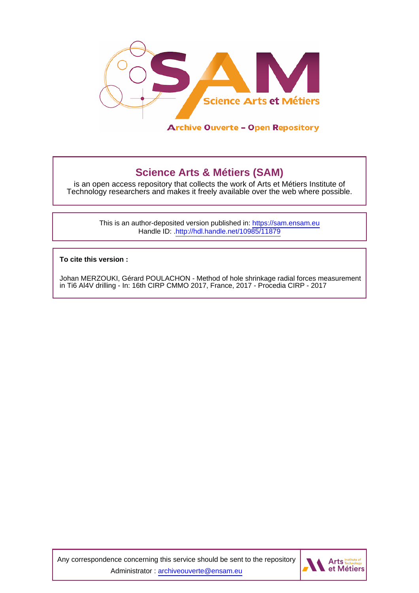

# **Science Arts & Métiers (SAM)**

is an open access repository that collects the work of Arts et Métiers Institute of Technology researchers and makes it freely available over the web where possible.

> This is an author-deposited version published in:<https://sam.ensam.eu> Handle ID: [.http://hdl.handle.net/10985/11879](http://hdl.handle.net/10985/11879)

**To cite this version :**

Johan MERZOUKI, Gérard POULACHON - Method of hole shrinkage radial forces measurement in Ti6 Al4V drilling - In: 16th CIRP CMMO 2017, France, 2017 - Procedia CIRP - 2017

Any correspondence concerning this service should be sent to the repository Administrator : [archiveouverte@ensam.eu](mailto:archiveouverte@ensam.eu)

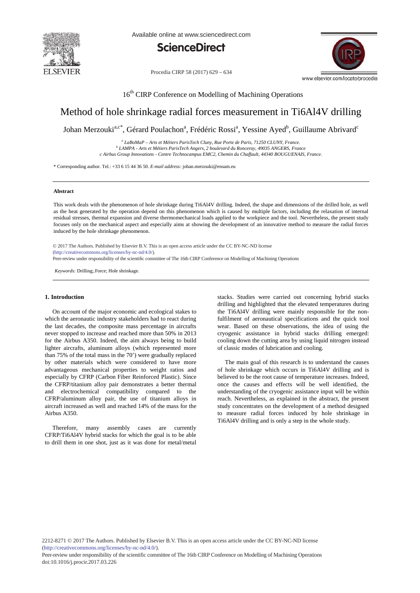

Available online at www.sciencedirect.com



Procedia CIRP 58 (2017) 629 - 634



16<sup>th</sup> CIRP Conference on Modelling of Machining Operations

## Method of hole shrinkage radial forces measurement in Ti6Al4V drilling

Johan Merzouki<sup>a,c\*</sup>, Gérard Poulachon<sup>a</sup>, Frédéric Rossi<sup>a</sup>, Yessine Ayed<sup>b</sup>, Guillaume Abrivard<sup>c</sup>

*<sup>a</sup> LaBoMaP – Arts et Métiers ParisTech Cluny, Rue Porte de Paris, 71250 CLUNY, France. <sup>b</sup> LAMPA - Arts et Métiers ParisTech Angers, 2 boulevard du Ronceray, 49035 ANGERS, France c Airbus Group Innovations - Centre Technocampus EMC2, Chemin du Chaffault, 44340 BOUGUENAIS, France.*

\* Corresponding author. Tel.: +33 6 15 44 36 50. *E-mail address:* johan.merzouki@ensam.eu

#### **Abstract**

This work deals with the phenomenon of hole shrinkage during Ti6Al4V drilling. Indeed, the shape and dimensions of the drilled hole, as well as the heat generated by the operation depend on this phenomenon which is caused by multiple factors, including the relaxation of internal residual stresses, thermal expansion and diverse thermomechanical loads applied to the workpiece and the tool. Nevertheless, the present study focuses only on the mechanical aspect and especially aims at showing the development of an innovative method to measure the radial forces induced by the hole shrinkage phenomenon.

© 2017 The Authors. Published by Elsevier B.V. © 2017 The Authors. Published by Elsevier B.V. This is an open access article under the CC BY-NC-ND license (http://creativecommons.org/licenses/by-nc-nd/4.0/).

Peer-review under responsibility of the scientific committee of The 16th CIRP Conference on Modelling of Machining Operations

*Keywords:* Drilling;.Force; Hole shrinkage.

#### **1. Introduction**

 On account of the major economic and ecological stakes to which the aeronautic industry stakeholders had to react during the last decades, the composite mass percentage in aircrafts never stopped to increase and reached more than 50% in 2013 for the Airbus A350. Indeed, the aim always being to build lighter aircrafts, aluminum alloys (which represented more than 75% of the total mass in the 70') were gradually replaced by other materials which were considered to have more advantageous mechanical properties to weight ratios and especially by CFRP (Carbon Fiber Reinforced Plastic). Since the CFRP/titanium alloy pair demonstrates a better thermal and electrochemical compatibility compared to the CFRP/aluminum alloy pair, the use of titanium alloys in aircraft increased as well and reached 14% of the mass for the Airbus A350.

 Therefore, many assembly cases are currently CFRP/Ti6Al4V hybrid stacks for which the goal is to be able to drill them in one shot, just as it was done for metal/metal stacks. Studies were carried out concerning hybrid stacks drilling and highlighted that the elevated temperatures during the Ti6Al4V drilling were mainly responsible for the nonfulfilment of aeronautical specifications and the quick tool wear. Based on these observations, the idea of using the cryogenic assistance in hybrid stacks drilling emerged: cooling down the cutting area by using liquid nitrogen instead of classic modes of lubrication and cooling.

 The main goal of this research is to understand the causes of hole shrinkage which occurs in Ti6Al4V drilling and is believed to be the root cause of temperature increases. Indeed, once the causes and effects will be well identified, the understanding of the cryogenic assistance input will be within reach. Nevertheless, as explained in the abstract, the present study concentrates on the development of a method designed to measure radial forces induced by hole shrinkage in Ti6Al4V drilling and is only a step in the whole study.

2212-8271 © 2017 The Authors. Published by Elsevier B.V. This is an open access article under the CC BY-NC-ND license (http://creativecommons.org/licenses/by-nc-nd/4.0/).

Peer-review under responsibility of the scientific committee of The 16th CIRP Conference on Modelling of Machining Operations doi: 10.1016/j.procir.2017.03.226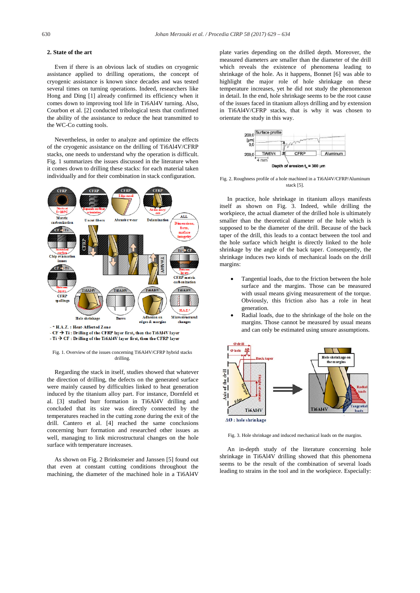#### **2. State of the art**

 Even if there is an obvious lack of studies on cryogenic assistance applied to drilling operations, the concept of cryogenic assistance is known since decades and was tested several times on turning operations. Indeed, researchers like Hong and Ding [1] already confirmed its efficiency when it comes down to improving tool life in Ti6Al4V turning. Also, Courbon et al. [2] conducted tribological tests that confirmed the ability of the assistance to reduce the heat transmitted to the WC-Co cutting tools.

 Nevertheless, in order to analyze and optimize the effects of the cryogenic assistance on the drilling of Ti6Al4V/CFRP stacks, one needs to understand why the operation is difficult. Fig. 1 summarizes the issues discussed in the literature when it comes down to drilling these stacks: for each material taken individually and for their combination in stack configuration.



 $\cdot$  Ti  $\rightarrow$  CF : Drilling of the Ti6Al4V layer first, then the CFRP layer

Fig. 1. Overview of the issues concerning Ti6Al4V/CFRP hybrid stacks drilling.

 Regarding the stack in itself, studies showed that whatever the direction of drilling, the defects on the generated surface were mainly caused by difficulties linked to heat generation induced by the titanium alloy part. For instance, Dornfeld et al. [3] studied burr formation in Ti6Al4V drilling and concluded that its size was directly connected by the temperatures reached in the cutting zone during the exit of the drill. Cantero et al. [4] reached the same conclusions concerning burr formation and researched other issues as well, managing to link microstructural changes on the hole surface with temperature increases.

 As shown on Fig. 2 Brinksmeier and Janssen [5] found out that even at constant cutting conditions throughout the machining, the diameter of the machined hole in a Ti6Al4V

plate varies depending on the drilled depth. Moreover, the measured diameters are smaller than the diameter of the drill which reveals the existence of phenomena leading to shrinkage of the hole. As it happens, Bonnet [6] was able to highlight the major role of hole shrinkage on these temperature increases, yet he did not study the phenomenon in detail. In the end, hole shrinkage seems to be the root cause of the issues faced in titanium alloys drilling and by extension in Ti6Al4V/CFRP stacks, that is why it was chosen to orientate the study in this way.



Fig. 2. Roughness profile of a hole machined in a Ti6Al4V/CFRP/Aluminum stack [5].

 In practice, hole shrinkage in titanium alloys manifests itself as shown on Fig. 3. Indeed, while drilling the workpiece, the actual diameter of the drilled hole is ultimately smaller than the theoretical diameter of the hole which is supposed to be the diameter of the drill. Because of the back taper of the drill, this leads to a contact between the tool and the hole surface which height is directly linked to the hole shrinkage by the angle of the back taper. Consequently, the shrinkage induces two kinds of mechanical loads on the drill margins:

- Tangential loads, due to the friction between the hole surface and the margins. Those can be measured with usual means giving measurement of the torque. Obviously, this friction also has a role in heat generation.
- Radial loads, due to the shrinkage of the hole on the margins. Those cannot be measured by usual means and can only be estimated using unsure assumptions.



Fig. 3. Hole shrinkage and induced mechanical loads on the margins.

 An in-depth study of the literature concerning hole shrinkage in Ti6Al4V drilling showed that this phenomena seems to be the result of the combination of several loads leading to strains in the tool and in the workpiece. Especially: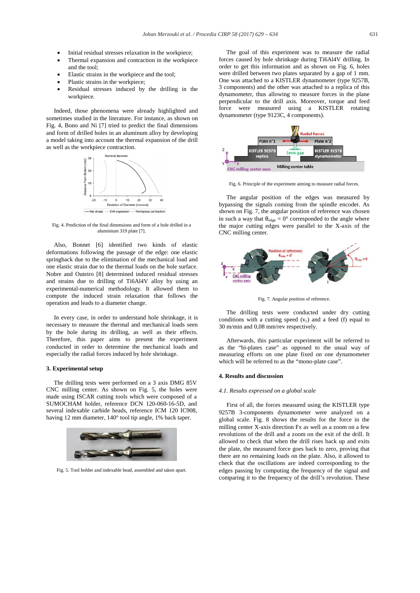- Initial residual stresses relaxation in the workpiece;
- Thermal expansion and contraction in the workpiece and the tool;
- Elastic strains in the workpiece and the tool;
- Plastic strains in the workpiece;
- x Residual stresses induced by the drilling in the workpiece.

 Indeed, those phenomena were already highlighted and sometimes studied in the literature. For instance, as shown on Fig. 4, Bono and Ni [7] tried to predict the final dimensions and form of drilled holes in an aluminum alloy by developing a model taking into account the thermal expansion of the drill as well as the workpiece contraction.



Fig. 4. Prediction of the final dimensions and form of a hole drilled in a aluminium 319 plate [7].

 Also, Bonnet [6] identified two kinds of elastic deformations following the passage of the edge: one elastic springback due to the elimination of the mechanical load and one elastic strain due to the thermal loads on the hole surface. Nobre and Outeiro [8] determined induced residual stresses and strains due to drilling of Ti6Al4V alloy by using an experimental-numerical methodology. It allowed them to compute the induced strain relaxation that follows the operation and leads to a diameter change.

 In every case, in order to understand hole shrinkage, it is necessary to measure the thermal and mechanical loads seen by the hole during its drilling, as well as their effects. Therefore, this paper aims to present the experiment conducted in order to determine the mechanical loads and especially the radial forces induced by hole shrinkage.

#### **3. Experimental setup**

 The drilling tests were performed on a 3 axis DMG 85V CNC milling center. As shown on Fig. 5, the holes were made using ISCAR cutting tools which were composed of a SUMOCHAM holder, reference DCN 120-060-16-5D, and several indexable carbide heads, reference ICM 120 IC908, having 12 mm diameter, 140° tool tip angle, 1% back taper.



Fig. 5. Tool holder and indexable head, assembled and taken apart.

 The goal of this experiment was to measure the radial forces caused by hole shrinkage during Ti6Al4V drilling. In order to get this information and as shown on Fig. 6, holes were drilled between two plates separated by a gap of 1 mm. One was attached to a KISTLER dynamometer (type 9257B, 3 components) and the other was attached to a replica of this dynamometer, thus allowing to measure forces in the plane perpendicular to the drill axis. Moreover, torque and feed force were measured using a KISTLER rotating dynamometer (type 9123C, 4 components).



Fig. 6. Principle of the experiment aiming to measure radial forces.

 The angular position of the edges was measured by bypassing the signals coming from the spindle encoder. As shown on Fig. 7, the angular position of reference was chosen in such a way that  $\theta_{\text{edge}} = 0^{\circ}$  corresponded to the angle where the major cutting edges were parallel to the X-axis of the CNC milling center.



Fig. 7. Angular position of reference.

 The drilling tests were conducted under dry cutting conditions with a cutting speed  $(v_c)$  and a feed (f) equal to 30 m/min and 0,08 mm/rev respectively.

 Afterwards, this particular experiment will be referred to as the "bi-plates case" as opposed to the usual way of measuring efforts on one plate fixed on one dynamometer which will be referred to as the "mono-plate case".

#### **4. Results and discussion**

#### *4.1. Results expressed on a global scale*

 First of all, the forces measured using the KISTLER type 9257B 3-components dynamometer were analyzed on a global scale. Fig. 8 shows the results for the force in the milling center X-axis direction Fx as well as a zoom on a few revolutions of the drill and a zoom on the exit of the drill. It allowed to check that when the drill rises back up and exits the plate, the measured force goes back to zero, proving that there are no remaining loads on the plate. Also, it allowed to check that the oscillations are indeed corresponding to the edges passing by computing the frequency of the signal and comparing it to the frequency of the drill's revolution. These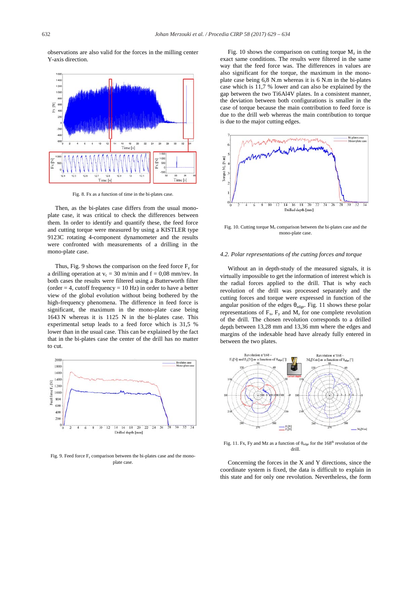observations are also valid for the forces in the milling center Y-axis direction.



Fig. 8. Fx as a function of time in the bi-plates case.

 Then, as the bi-plates case differs from the usual monoplate case, it was critical to check the differences between them. In order to identify and quantify these, the feed force and cutting torque were measured by using a KISTLER type 9123C rotating 4-component dynamometer and the results were confronted with measurements of a drilling in the mono-plate case.

Thus, Fig. 9 shows the comparison on the feed force  $F<sub>z</sub>$  for a drilling operation at  $v_c = 30$  m/min and  $f = 0.08$  mm/rev. In both cases the results were filtered using a Butterworth filter (order  $= 4$ , cutoff frequency  $= 10$  Hz) in order to have a better view of the global evolution without being bothered by the high-frequency phenomena. The difference in feed force is significant, the maximum in the mono-plate case being 1643 N whereas it is 1125 N in the bi-plates case. This experimental setup leads to a feed force which is 31,5 % lower than in the usual case. This can be explained by the fact that in the bi-plates case the center of the drill has no matter to cut.



Fig. 9. Feed force  $F_z$  comparison between the bi-plates case and the monoplate case.

Fig. 10 shows the comparison on cutting torque  $M<sub>z</sub>$  in the exact same conditions. The results were filtered in the same way that the feed force was. The differences in values are also significant for the torque, the maximum in the monoplate case being 6,8 N.m whereas it is 6 N.m in the bi-plates case which is 11,7 % lower and can also be explained by the gap between the two Ti6Al4V plates. In a consistent manner, the deviation between both configurations is smaller in the case of torque because the main contribution to feed force is due to the drill web whereas the main contribution to torque is due to the major cutting edges.



Fig. 10. Cutting torque  $M_z$  comparison between the bi-plates case and the mono-plate case.

#### *4.2. Polar representations of the cutting forces and torque*

 Without an in depth-study of the measured signals, it is virtually impossible to get the information of interest which is the radial forces applied to the drill. That is why each revolution of the drill was processed separately and the cutting forces and torque were expressed in function of the angular position of the edges  $\theta_{\text{edge}}$ . Fig. 11 shows these polar representations of  $F_x$ ,  $F_y$  and  $M_z$  for one complete revolution of the drill. The chosen revolution corresponds to a drilled depth between 13,28 mm and 13,36 mm where the edges and margins of the indexable head have already fully entered in between the two plates.



Fig. 11. Fx, Fy and Mz as a function of  $\theta_{\text{edge}}$  for the 168<sup>th</sup> revolution of the drill.

 Concerning the forces in the X and Y directions, since the coordinate system is fixed, the data is difficult to explain in this state and for only one revolution. Nevertheless, the form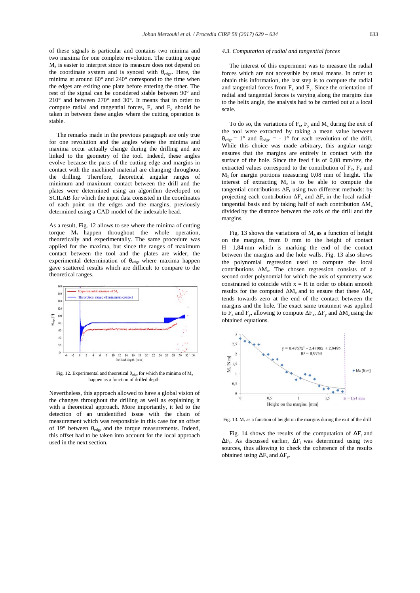of these signals is particular and contains two minima and two maxima for one complete revolution. The cutting torque  $M<sub>z</sub>$  is easier to interpret since its measure does not depend on the coordinate system and is synced with  $\theta_{edge}$ . Here, the minima at around 60° and 240° correspond to the time when the edges are exiting one plate before entering the other. The rest of the signal can be considered stable between 90° and 210° and between 270° and 30°. It means that in order to compute radial and tangential forces,  $F_x$  and  $F_y$  should be taken in between these angles where the cutting operation is stable.

 The remarks made in the previous paragraph are only true for one revolution and the angles where the minima and maxima occur actually change during the drilling and are linked to the geometry of the tool. Indeed, these angles evolve because the parts of the cutting edge and margins in contact with the machined material are changing throughout the drilling. Therefore, theoretical angular ranges of minimum and maximum contact between the drill and the plates were determined using an algorithm developed on SCILAB for which the input data consisted in the coordinates of each point on the edges and the margins, previously determined using a CAD model of the indexable head.

As a result, Fig. 12 allows to see where the minima of cutting torque  $M_z$  happen throughout the whole operation, theoretically and experimentally. The same procedure was applied for the maxima, but since the ranges of maximum contact between the tool and the plates are wider, the experimental determination of  $\theta_{\text{edge}}$  where maxima happen gave scattered results which are difficult to compare to the theoretical ranges.



Fig. 12. Experimental and theoretical  $\theta_{edge}$  for which the minima of  $M_z$ happen as a function of drilled depth.

Nevertheless, this approach allowed to have a global vision of the changes throughout the drilling as well as explaining it with a theoretical approach. More importantly, it led to the detection of an unidentified issue with the chain of measurement which was responsible in this case for an offset of 19 $\degree$  between  $\theta_{\text{edge}}$  and the torque measurements. Indeed, this offset had to be taken into account for the local approach used in the next section.

#### *4.3. Computation of radial and tangential forces*

 The interest of this experiment was to measure the radial forces which are not accessible by usual means. In order to obtain this information, the last step is to compute the radial and tangential forces from  $F_x$  and  $F_y$ . Since the orientation of radial and tangential forces is varying along the margins due to the helix angle, the analysis had to be carried out at a local scale.

To do so, the variations of  $F_x$ ,  $F_y$  and  $M_z$  during the exit of the tool were extracted by taking a mean value between  $\theta_{\text{edge}} = 1^{\circ}$  and  $\theta_{\text{edge}} = -1^{\circ}$  for each revolution of the drill. While this choice was made arbitrary, this angular range ensures that the margins are entirely in contact with the surface of the hole. Since the feed f is of 0,08 mm/rev, the extracted values correspond to the contribution of  $F_x$ ,  $F_y$  and  $M<sub>z</sub>$  for margin portions measuring 0,08 mm of height. The interest of extracting  $M_z$  is to be able to compute the tangential contributions  $\Delta F_t$  using two different methods: by projecting each contribution  $\Delta F_x$  and  $\Delta F_y$  in the local radialtangential basis and by taking half of each contribution  $\Delta M_z$ divided by the distance between the axis of the drill and the margins.

Fig. 13 shows the variations of  $M_z$  as a function of height on the margins, from 0 mm to the height of contact  $H = 1,84$  mm which is marking the end of the contact between the margins and the hole walls. Fig. 13 also shows the polynomial regression used to compute the local contributions  $\Delta M_z$ . The chosen regression consists of a second order polynomial for which the axis of symmetry was constrained to coincide with  $x = H$  in order to obtain smooth results for the computed  $\Delta M_z$  and to ensure that these  $\Delta M_z$ tends towards zero at the end of the contact between the margins and the hole. The exact same treatment was applied to  $F_x$  and  $F_y$ , allowing to compute  $\Delta F_x$ ,  $\Delta F_y$  and  $\Delta M_z$  using the obtained equations.



Fig. 13.  $M_z$  as a function of height on the margins during the exit of the drill

Fig. 14 shows the results of the computation of  $\Delta F_r$  and  $\Delta F_t$ . As discussed earlier,  $\Delta F_t$  was determined using two sources, thus allowing to check the coherence of the results obtained using  $\Delta F_x$  and  $\Delta F_y$ .